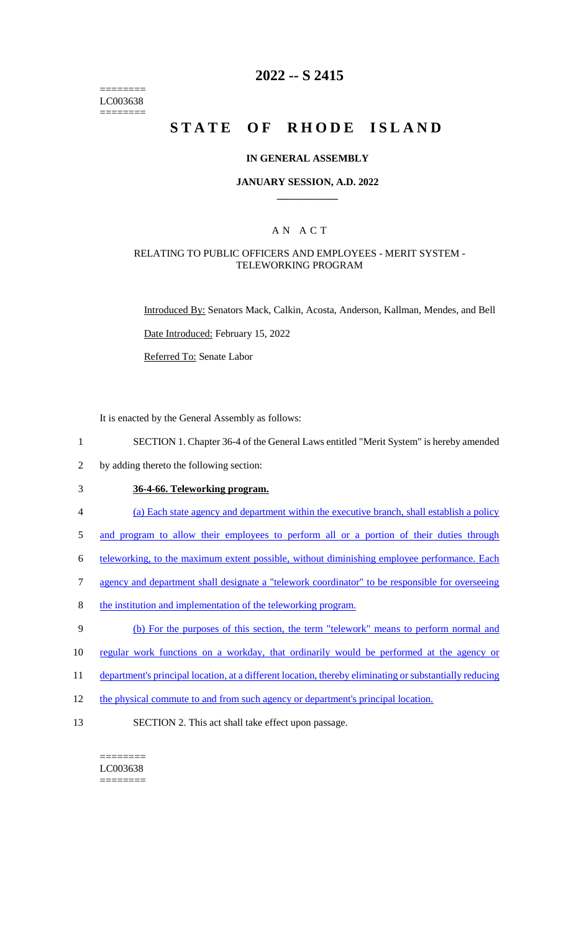======== LC003638 ========

## **2022 -- S 2415**

# **STATE OF RHODE ISLAND**

#### **IN GENERAL ASSEMBLY**

#### **JANUARY SESSION, A.D. 2022 \_\_\_\_\_\_\_\_\_\_\_\_**

## A N A C T

#### RELATING TO PUBLIC OFFICERS AND EMPLOYEES - MERIT SYSTEM - TELEWORKING PROGRAM

Introduced By: Senators Mack, Calkin, Acosta, Anderson, Kallman, Mendes, and Bell

Date Introduced: February 15, 2022

Referred To: Senate Labor

It is enacted by the General Assembly as follows:

- 1 SECTION 1. Chapter 36-4 of the General Laws entitled "Merit System" is hereby amended
- 2 by adding thereto the following section:

## 3 **36-4-66. Teleworking program.**

- 4 (a) Each state agency and department within the executive branch, shall establish a policy
- 5 and program to allow their employees to perform all or a portion of their duties through
- 6 teleworking, to the maximum extent possible, without diminishing employee performance. Each
- 7 agency and department shall designate a "telework coordinator" to be responsible for overseeing
- 8 the institution and implementation of the teleworking program.
- 9 (b) For the purposes of this section, the term "telework" means to perform normal and
- 10 regular work functions on a workday, that ordinarily would be performed at the agency or
- 11 department's principal location, at a different location, thereby eliminating or substantially reducing
- 12 the physical commute to and from such agency or department's principal location.
- 13 SECTION 2. This act shall take effect upon passage.

======== LC003638 ========